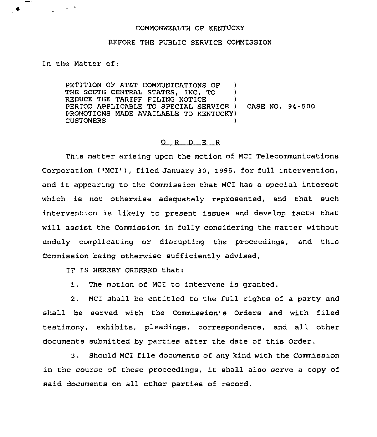## COMMONWEALTH OF KENTUCKY

## BEFORE THE PUBLIC SERVICE COMMISSION

In the Matter of;

♦

PETITION OF AT&T COMMUNICATIONS OF )<br>THE SOUTH CENTRAL STATES INC TO ) THE SOUTH CENTRAL STATES, INC. TO ) REDUCE THE TARIFF FILING NOTICE PERIOD APPLICABLE TO SPECIAL SERVICE ) CASE NO. 94-500 PROMOTIONS MADE AVAILABLE TO KENTUCKY) **CUSTOMERS** 

## 0 <sup>R</sup> <sup>D</sup> E <sup>R</sup>

This matter arising upon the motion of MCI Telecommunications Corporation ("MCI"), filed January 30, 1995, for full intervention, and it appearing to the Commission that MCI has <sup>a</sup> special interest which is not otherwise adequately represented, and that such intervention is likely to present issues and develop facts that will assist the Commission in fully considering the matter without unduly complicating or disrupting the proceedings, and this Commission being otherwise sufficiently advised,

IT IS HEREBY ORDERED that:

1, The motion of MCI to intervene is granted.

2. MCI shall be entitled to the full rights of a party and shall be served with the Commission's Orders and with filed testimony, exhibits, pleadings, correspondence, and all other documents submitted by parties after the date of this Order.

3. Should MCI file documents of any kind with the Commission in the course of these proceedings, it shall also serve <sup>a</sup> copy of said documents on all other parties of record.